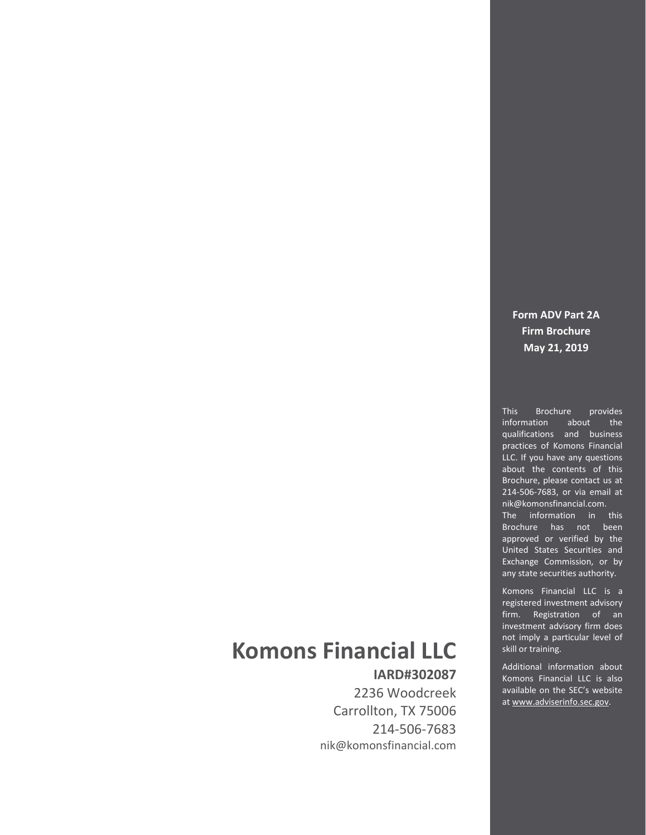### **Form ADV Part 2A Firm Brochure May 21, 2019**

This Brochure provides information about the qualifications and business practices of Komons Financial LLC. If you have any questions about the contents of this Brochure, please contact us at 214-506-7683, or via email at nik@komonsfinancial.com. The information in this Brochure has not been approved or verified by the United States Securities and Exchange Commission, or by any state securities authority.

Komons Financial LLC is a registered investment advisory firm. Registration of an investment advisory firm does not imply a particular level of skill or training.

Additional information about Komons Financial LLC is also available on the SEC's website a[t www.adviserinfo.sec.gov.](http://www.adviserinfo.sec.gov/)

# **Komons Financial LLC**

**IARD#302087** 2236 Woodcreek Carrollton, TX 75006 214-506-7683 nik@komonsfinancial.com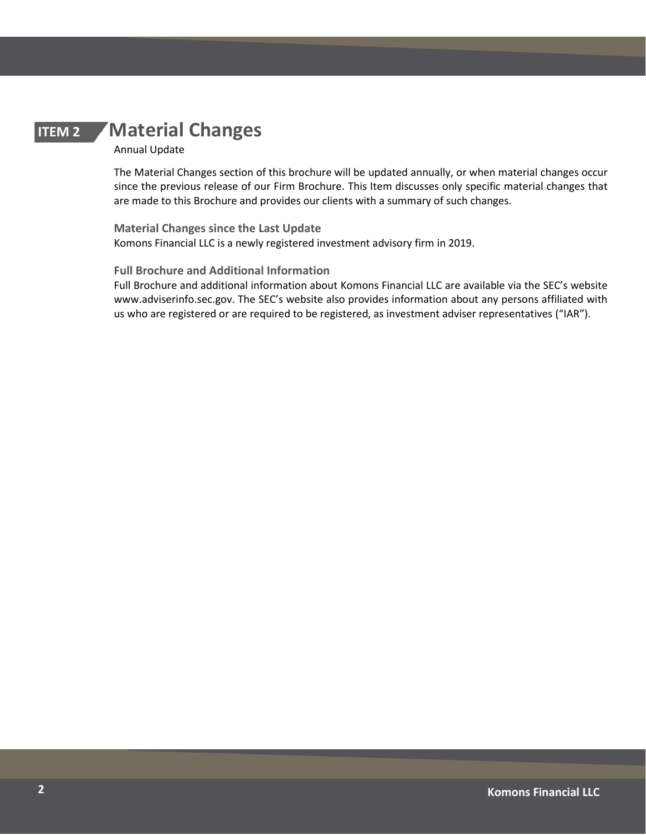# **ITEM 2 Material Changes**

#### <span id="page-1-0"></span>Annual Update

The Material Changes section of this brochure will be updated annually, or when material changes occur since the previous release of our Firm Brochure. This Item discusses only specific material changes that are made to this Brochure and provides our clients with a summary of such changes.

**Material Changes since the Last Update**  Komons Financial LLC is a newly registered investment advisory firm in 2019.

#### **Full Brochure and Additional Information**

Full Brochure and additional information about Komons Financial LLC are available via the SEC's website www.adviserinfo.sec.gov. The SEC's website also provides information about any persons affiliated with us who are registered or are required to be registered, as investment adviser representatives ("IAR").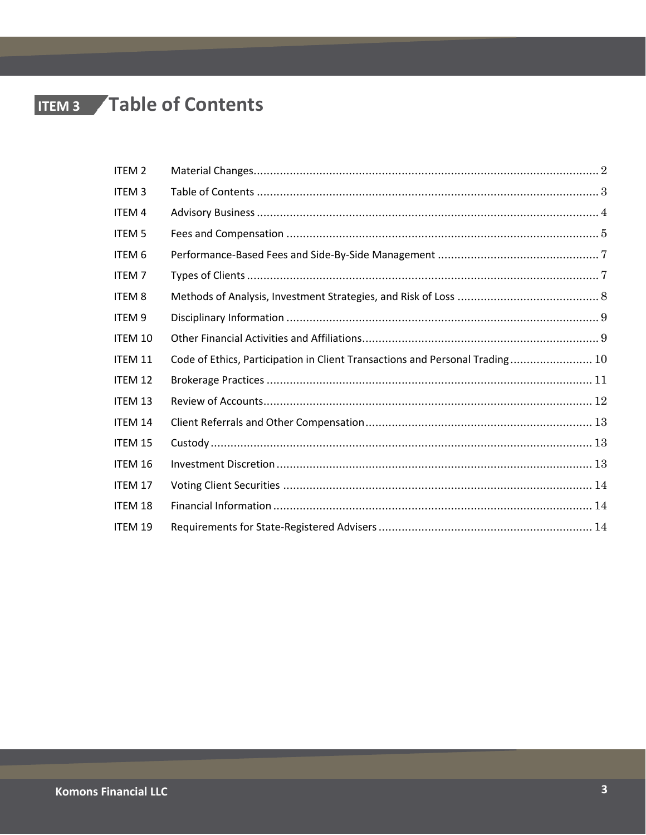# **ITEM 3 / Table of Contents**

<span id="page-2-0"></span>

| <b>ITEM 2</b>     |                                                                              |  |
|-------------------|------------------------------------------------------------------------------|--|
| <b>ITEM3</b>      |                                                                              |  |
| ITEM 4            |                                                                              |  |
| <b>ITEM 5</b>     |                                                                              |  |
| ITEM 6            |                                                                              |  |
| <b>ITEM7</b>      |                                                                              |  |
| <b>ITEM 8</b>     |                                                                              |  |
| ITEM <sub>9</sub> |                                                                              |  |
| <b>ITEM 10</b>    |                                                                              |  |
| ITEM 11           | Code of Ethics, Participation in Client Transactions and Personal Trading 10 |  |
| ITEM 12           |                                                                              |  |
| ITEM 13           |                                                                              |  |
| <b>ITEM 14</b>    |                                                                              |  |
| ITEM 15           |                                                                              |  |
| ITEM 16           |                                                                              |  |
| ITEM 17           |                                                                              |  |
| ITEM 18           |                                                                              |  |
| ITEM 19           |                                                                              |  |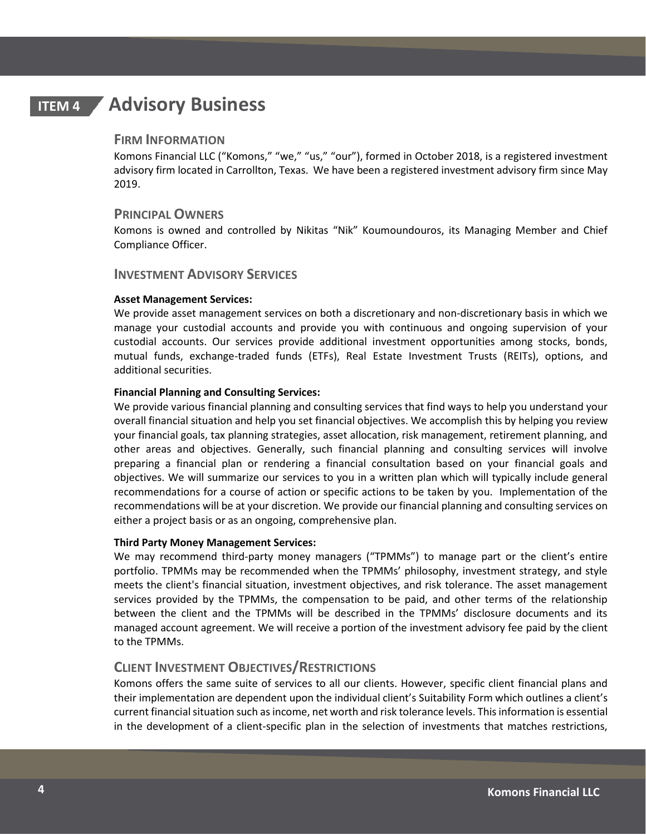# **ITEM 4 Advisory Business**

#### <span id="page-3-0"></span>**FIRM INFORMATION**

Komons Financial LLC ("Komons," "we," "us," "our"), formed in October 2018, is a registered investment advisory firm located in Carrollton, Texas. We have been a registered investment advisory firm since May 2019.

### **PRINCIPAL OWNERS**

Komons is owned and controlled by Nikitas "Nik" Koumoundouros, its Managing Member and Chief Compliance Officer.

### **INVESTMENT ADVISORY SERVICES**

#### **Asset Management Services:**

We provide asset management services on both a discretionary and non-discretionary basis in which we manage your custodial accounts and provide you with continuous and ongoing supervision of your custodial accounts. Our services provide additional investment opportunities among stocks, bonds, mutual funds, exchange-traded funds (ETFs), Real Estate Investment Trusts (REITs), options, and additional securities.

#### **Financial Planning and Consulting Services:**

We provide various financial planning and consulting services that find ways to help you understand your overall financial situation and help you set financial objectives. We accomplish this by helping you review your financial goals, tax planning strategies, asset allocation, risk management, retirement planning, and other areas and objectives. Generally, such financial planning and consulting services will involve preparing a financial plan or rendering a financial consultation based on your financial goals and objectives. We will summarize our services to you in a written plan which will typically include general recommendations for a course of action or specific actions to be taken by you. Implementation of the recommendations will be at your discretion. We provide our financial planning and consulting services on either a project basis or as an ongoing, comprehensive plan.

#### **Third Party Money Management Services:**

We may recommend third-party money managers ("TPMMs") to manage part or the client's entire portfolio. TPMMs may be recommended when the TPMMs' philosophy, investment strategy, and style meets the client's financial situation, investment objectives, and risk tolerance. The asset management services provided by the TPMMs, the compensation to be paid, and other terms of the relationship between the client and the TPMMs will be described in the TPMMs' disclosure documents and its managed account agreement. We will receive a portion of the investment advisory fee paid by the client to the TPMMs.

### **CLIENT INVESTMENT OBJECTIVES/RESTRICTIONS**

Komons offers the same suite of services to all our clients. However, specific client financial plans and their implementation are dependent upon the individual client's Suitability Form which outlines a client's current financial situation such as income, net worth and risk tolerance levels. This information is essential in the development of a client-specific plan in the selection of investments that matches restrictions,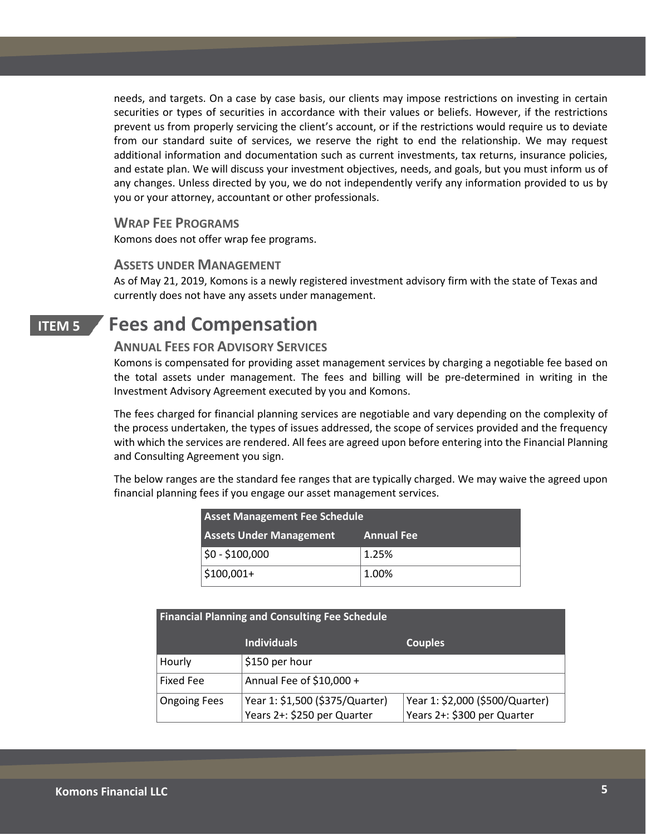needs, and targets. On a case by case basis, our clients may impose restrictions on investing in certain securities or types of securities in accordance with their values or beliefs. However, if the restrictions prevent us from properly servicing the client's account, or if the restrictions would require us to deviate from our standard suite of services, we reserve the right to end the relationship. We may request additional information and documentation such as current investments, tax returns, insurance policies, and estate plan. We will discuss your investment objectives, needs, and goals, but you must inform us of any changes. Unless directed by you, we do not independently verify any information provided to us by you or your attorney, accountant or other professionals.

#### **WRAP FEE PROGRAMS**

Komons does not offer wrap fee programs.

### **ASSETS UNDER MANAGEMENT**

As of May 21, 2019, Komons is a newly registered investment advisory firm with the state of Texas and currently does not have any assets under management.

# **ITEM 5 Fees and Compensation**

### <span id="page-4-0"></span>**ANNUAL FEES FOR ADVISORY SERVICES**

Komons is compensated for providing asset management services by charging a negotiable fee based on the total assets under management. The fees and billing will be pre-determined in writing in the Investment Advisory Agreement executed by you and Komons.

The fees charged for financial planning services are negotiable and vary depending on the complexity of the process undertaken, the types of issues addressed, the scope of services provided and the frequency with which the services are rendered. All fees are agreed upon before entering into the Financial Planning and Consulting Agreement you sign.

The below ranges are the standard fee ranges that are typically charged. We may waive the agreed upon financial planning fees if you engage our asset management services.

| <b>Asset Management Fee Schedule</b> |                   |  |  |
|--------------------------------------|-------------------|--|--|
| <b>Assets Under Management</b>       | <b>Annual Fee</b> |  |  |
| $$0 - $100,000$                      | 1.25%             |  |  |
| $$100,001+$                          | 1.00%             |  |  |

| <b>Financial Planning and Consulting Fee Schedule</b> |                                 |                                 |  |  |  |
|-------------------------------------------------------|---------------------------------|---------------------------------|--|--|--|
|                                                       | Individuals                     | <b>Couples</b>                  |  |  |  |
| Hourly                                                | \$150 per hour                  |                                 |  |  |  |
| Fixed Fee                                             | Annual Fee of $$10,000 +$       |                                 |  |  |  |
| <b>Ongoing Fees</b>                                   | Year 1: \$1,500 (\$375/Quarter) | Year 1: \$2,000 (\$500/Quarter) |  |  |  |
|                                                       | Years 2+: \$250 per Quarter     | Years 2+: \$300 per Quarter     |  |  |  |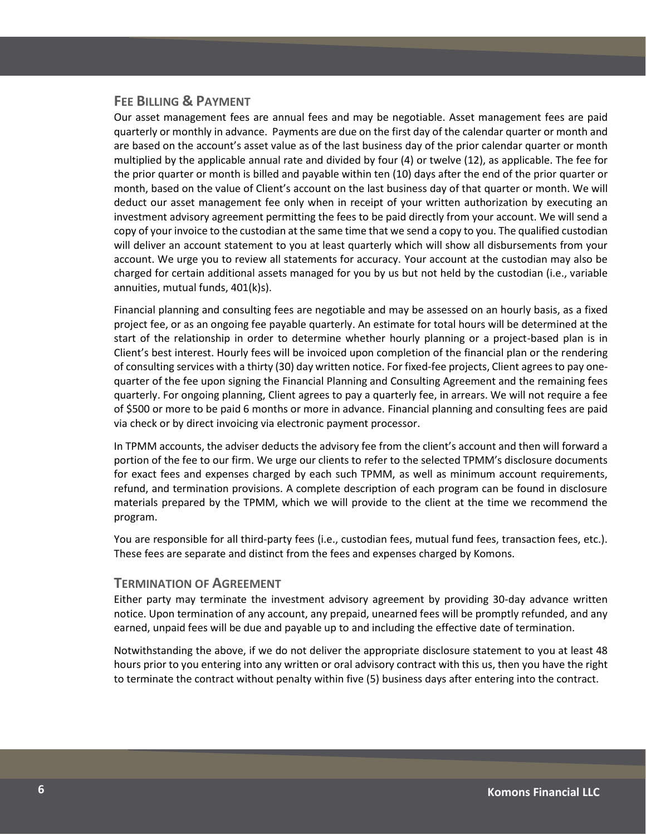### **FEE BILLING & PAYMENT**

Our asset management fees are annual fees and may be negotiable. Asset management fees are paid quarterly or monthly in advance. Payments are due on the first day of the calendar quarter or month and are based on the account's asset value as of the last business day of the prior calendar quarter or month multiplied by the applicable annual rate and divided by four (4) or twelve (12), as applicable. The fee for the prior quarter or month is billed and payable within ten (10) days after the end of the prior quarter or month, based on the value of Client's account on the last business day of that quarter or month. We will deduct our asset management fee only when in receipt of your written authorization by executing an investment advisory agreement permitting the fees to be paid directly from your account. We will send a copy of your invoice to the custodian at the same time that we send a copy to you. The qualified custodian will deliver an account statement to you at least quarterly which will show all disbursements from your account. We urge you to review all statements for accuracy. Your account at the custodian may also be charged for certain additional assets managed for you by us but not held by the custodian (i.e., variable annuities, mutual funds, 401(k)s).

Financial planning and consulting fees are negotiable and may be assessed on an hourly basis, as a fixed project fee, or as an ongoing fee payable quarterly. An estimate for total hours will be determined at the start of the relationship in order to determine whether hourly planning or a project-based plan is in Client's best interest. Hourly fees will be invoiced upon completion of the financial plan or the rendering of consulting services with a thirty (30) day written notice. For fixed-fee projects, Client agrees to pay onequarter of the fee upon signing the Financial Planning and Consulting Agreement and the remaining fees quarterly. For ongoing planning, Client agrees to pay a quarterly fee, in arrears. We will not require a fee of \$500 or more to be paid 6 months or more in advance. Financial planning and consulting fees are paid via check or by direct invoicing via electronic payment processor.

In TPMM accounts, the adviser deducts the advisory fee from the client's account and then will forward a portion of the fee to our firm. We urge our clients to refer to the selected TPMM's disclosure documents for exact fees and expenses charged by each such TPMM, as well as minimum account requirements, refund, and termination provisions. A complete description of each program can be found in disclosure materials prepared by the TPMM, which we will provide to the client at the time we recommend the program.

You are responsible for all third-party fees (i.e., custodian fees, mutual fund fees, transaction fees, etc.). These fees are separate and distinct from the fees and expenses charged by Komons.

#### **TERMINATION OF AGREEMENT**

Either party may terminate the investment advisory agreement by providing 30-day advance written notice. Upon termination of any account, any prepaid, unearned fees will be promptly refunded, and any earned, unpaid fees will be due and payable up to and including the effective date of termination.

Notwithstanding the above, if we do not deliver the appropriate disclosure statement to you at least 48 hours prior to you entering into any written or oral advisory contract with this us, then you have the right to terminate the contract without penalty within five (5) business days after entering into the contract.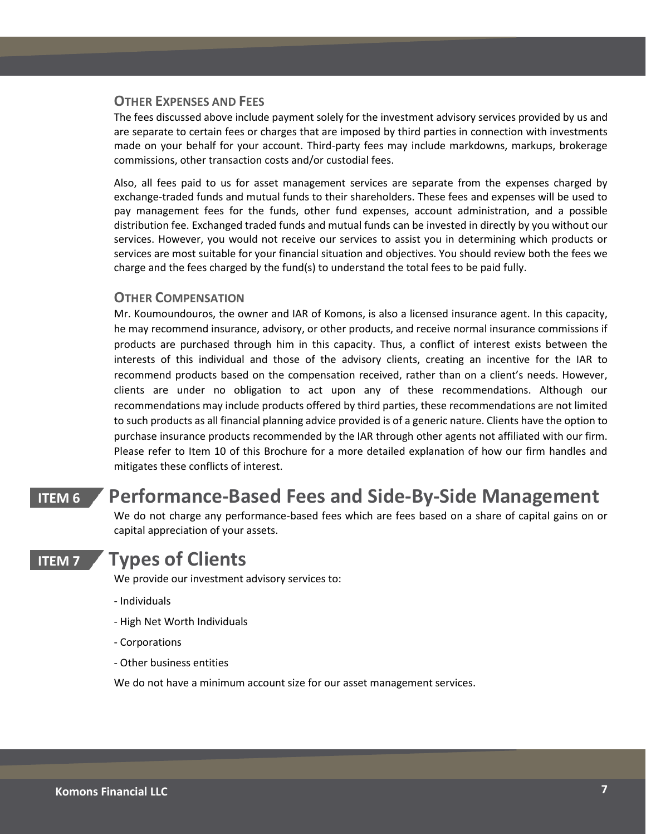### **OTHER EXPENSES AND FEES**

The fees discussed above include payment solely for the investment advisory services provided by us and are separate to certain fees or charges that are imposed by third parties in connection with investments made on your behalf for your account. Third-party fees may include markdowns, markups, brokerage commissions, other transaction costs and/or custodial fees.

Also, all fees paid to us for asset management services are separate from the expenses charged by exchange-traded funds and mutual funds to their shareholders. These fees and expenses will be used to pay management fees for the funds, other fund expenses, account administration, and a possible distribution fee. Exchanged traded funds and mutual funds can be invested in directly by you without our services. However, you would not receive our services to assist you in determining which products or services are most suitable for your financial situation and objectives. You should review both the fees we charge and the fees charged by the fund(s) to understand the total fees to be paid fully.

### **OTHER COMPENSATION**

Mr. Koumoundouros, the owner and IAR of Komons, is also a licensed insurance agent. In this capacity, he may recommend insurance, advisory, or other products, and receive normal insurance commissions if products are purchased through him in this capacity. Thus, a conflict of interest exists between the interests of this individual and those of the advisory clients, creating an incentive for the IAR to recommend products based on the compensation received, rather than on a client's needs. However, clients are under no obligation to act upon any of these recommendations. Although our recommendations may include products offered by third parties, these recommendations are not limited to such products as all financial planning advice provided is of a generic nature. Clients have the option to purchase insurance products recommended by the IAR through other agents not affiliated with our firm. Please refer to Item 10 of this Brochure for a more detailed explanation of how our firm handles and mitigates these conflicts of interest.

## **ITEM 6 Performance-Based Fees and Side-By-Side Management**

<span id="page-6-0"></span>We do not charge any performance-based fees which are fees based on a share of capital gains on or capital appreciation of your assets.

## **ITEM 7 Types of Clients**

<span id="page-6-1"></span>We provide our investment advisory services to:

- Individuals
- High Net Worth Individuals
- Corporations
- Other business entities

We do not have a minimum account size for our asset management services.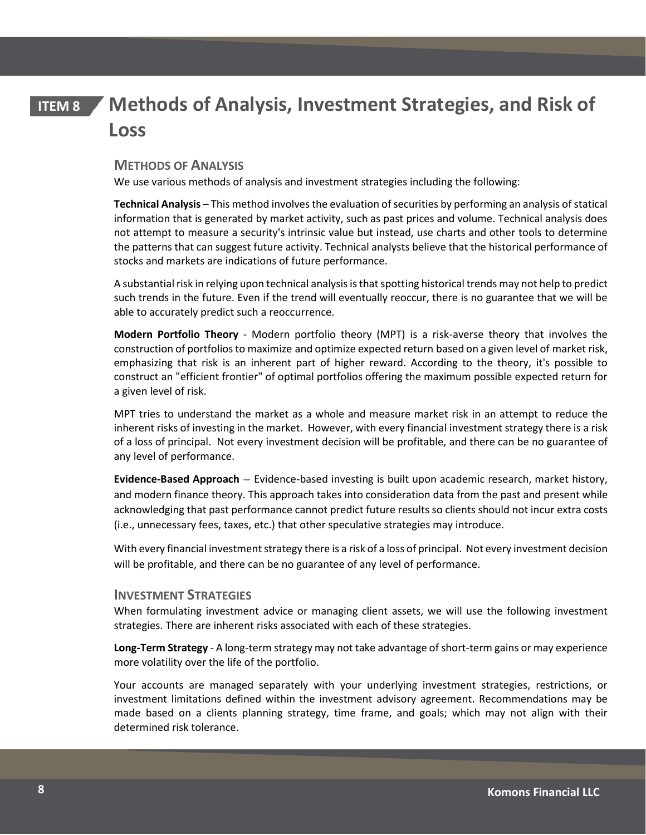# **ITEM 8 Methods of Analysis, Investment Strategies, and Risk of Loss**

### <span id="page-7-0"></span>**METHODS OF ANALYSIS**

We use various methods of analysis and investment strategies including the following:

**Technical Analysis** – This method involves the evaluation of securities by performing an analysis of statical information that is generated by market activity, such as past prices and volume. Technical analysis does not attempt to measure a security's intrinsic value but instead, use charts and other tools to determine the patterns that can suggest future activity. Technical analysts believe that the historical performance of stocks and markets are indications of future performance.

A substantial risk in relying upon technical analysis is that spotting historical trends may not help to predict such trends in the future. Even if the trend will eventually reoccur, there is no guarantee that we will be able to accurately predict such a reoccurrence.

**Modern Portfolio Theory** - Modern portfolio theory (MPT) is a risk-averse theory that involves the construction of portfolios to maximize and optimize expected return based on a given level of market risk, emphasizing that risk is an inherent part of higher reward. According to the theory, it's possible to construct an "efficient frontier" of optimal portfolios offering the maximum possible expected return for a given level of risk.

MPT tries to understand the market as a whole and measure market risk in an attempt to reduce the inherent risks of investing in the market. However, with every financial investment strategy there is a risk of a loss of principal. Not every investment decision will be profitable, and there can be no guarantee of any level of performance.

**Evidence-Based Approach** – Evidence-based investing is built upon academic research, market history, and modern finance theory. This approach takes into consideration data from the past and present while acknowledging that past performance cannot predict future results so clients should not incur extra costs (i.e., unnecessary fees, taxes, etc.) that other speculative strategies may introduce.

With every financial investment strategy there is a risk of a loss of principal. Not every investment decision will be profitable, and there can be no guarantee of any level of performance.

### **INVESTMENT STRATEGIES**

When formulating investment advice or managing client assets, we will use the following investment strategies. There are inherent risks associated with each of these strategies.

**Long-Term Strategy** - A long-term strategy may not take advantage of short-term gains or may experience more volatility over the life of the portfolio.

Your accounts are managed separately with your underlying investment strategies, restrictions, or investment limitations defined within the investment advisory agreement. Recommendations may be made based on a clients planning strategy, time frame, and goals; which may not align with their determined risk tolerance.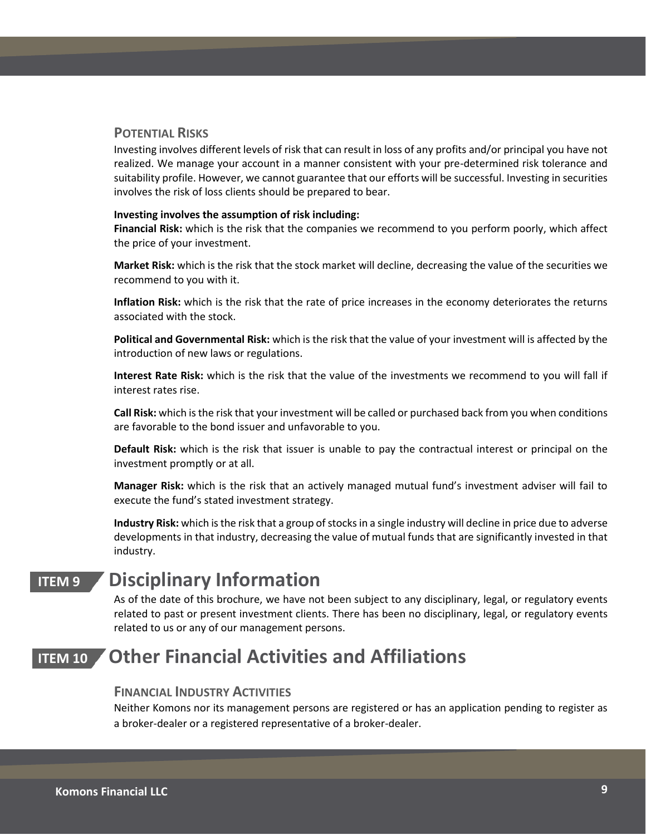### **POTENTIAL RISKS**

Investing involves different levels of risk that can result in loss of any profits and/or principal you have not realized. We manage your account in a manner consistent with your pre-determined risk tolerance and suitability profile. However, we cannot guarantee that our efforts will be successful. Investing in securities involves the risk of loss clients should be prepared to bear.

#### **Investing involves the assumption of risk including:**

**Financial Risk:** which is the risk that the companies we recommend to you perform poorly, which affect the price of your investment.

**Market Risk:** which is the risk that the stock market will decline, decreasing the value of the securities we recommend to you with it.

**Inflation Risk:** which is the risk that the rate of price increases in the economy deteriorates the returns associated with the stock.

**Political and Governmental Risk:** which is the risk that the value of your investment will is affected by the introduction of new laws or regulations.

**Interest Rate Risk:** which is the risk that the value of the investments we recommend to you will fall if interest rates rise.

**Call Risk:** which is the risk that your investment will be called or purchased back from you when conditions are favorable to the bond issuer and unfavorable to you.

**Default Risk:** which is the risk that issuer is unable to pay the contractual interest or principal on the investment promptly or at all.

**Manager Risk:** which is the risk that an actively managed mutual fund's investment adviser will fail to execute the fund's stated investment strategy.

**Industry Risk:** which is the risk that a group of stocks in a single industry will decline in price due to adverse developments in that industry, decreasing the value of mutual funds that are significantly invested in that industry.

# **ITEM 9 Disciplinary Information**

<span id="page-8-0"></span>As of the date of this brochure, we have not been subject to any disciplinary, legal, or regulatory events related to past or present investment clients. There has been no disciplinary, legal, or regulatory events related to us or any of our management persons.

# **ITEM 10 Other Financial Activities and Affiliations**

### <span id="page-8-1"></span>**FINANCIAL INDUSTRY ACTIVITIES**

Neither Komons nor its management persons are registered or has an application pending to register as a broker-dealer or a registered representative of a broker-dealer.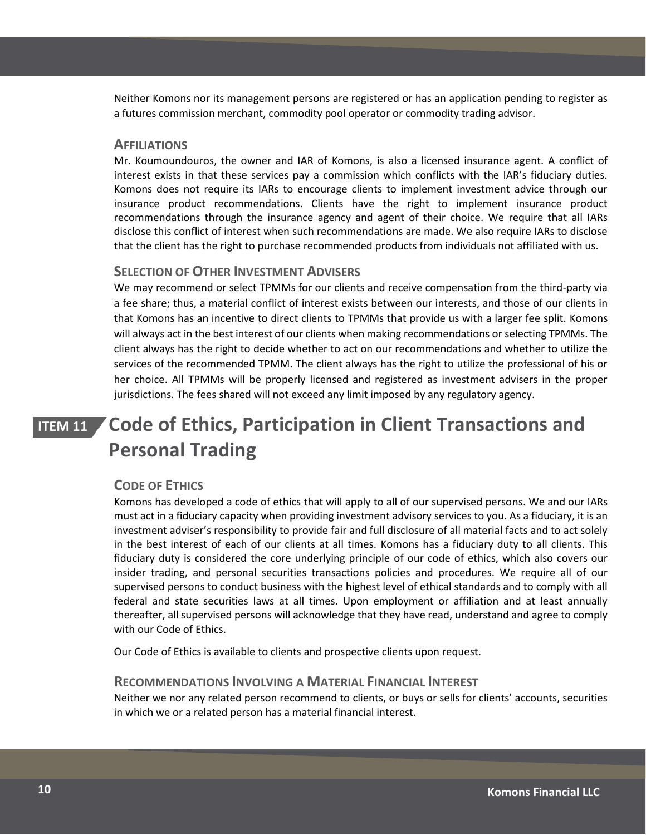Neither Komons nor its management persons are registered or has an application pending to register as a futures commission merchant, commodity pool operator or commodity trading advisor.

### **AFFILIATIONS**

Mr. Koumoundouros, the owner and IAR of Komons, is also a licensed insurance agent. A conflict of interest exists in that these services pay a commission which conflicts with the IAR's fiduciary duties. Komons does not require its IARs to encourage clients to implement investment advice through our insurance product recommendations. Clients have the right to implement insurance product recommendations through the insurance agency and agent of their choice. We require that all IARs disclose this conflict of interest when such recommendations are made. We also require IARs to disclose that the client has the right to purchase recommended products from individuals not affiliated with us.

#### **SELECTION OF OTHER INVESTMENT ADVISERS**

We may recommend or select TPMMs for our clients and receive compensation from the third-party via a fee share; thus, a material conflict of interest exists between our interests, and those of our clients in that Komons has an incentive to direct clients to TPMMs that provide us with a larger fee split. Komons will always act in the best interest of our clients when making recommendations or selecting TPMMs. The client always has the right to decide whether to act on our recommendations and whether to utilize the services of the recommended TPMM. The client always has the right to utilize the professional of his or her choice. All TPMMs will be properly licensed and registered as investment advisers in the proper jurisdictions. The fees shared will not exceed any limit imposed by any regulatory agency.

# **ITEM 11 Code of Ethics, Participation in Client Transactions and Personal Trading**

### <span id="page-9-0"></span>**CODE OF ETHICS**

Komons has developed a code of ethics that will apply to all of our supervised persons. We and our IARs must act in a fiduciary capacity when providing investment advisory services to you. As a fiduciary, it is an investment adviser's responsibility to provide fair and full disclosure of all material facts and to act solely in the best interest of each of our clients at all times. Komons has a fiduciary duty to all clients. This fiduciary duty is considered the core underlying principle of our code of ethics, which also covers our insider trading, and personal securities transactions policies and procedures. We require all of our supervised persons to conduct business with the highest level of ethical standards and to comply with all federal and state securities laws at all times. Upon employment or affiliation and at least annually thereafter, all supervised persons will acknowledge that they have read, understand and agree to comply with our Code of Ethics.

Our Code of Ethics is available to clients and prospective clients upon request.

#### **RECOMMENDATIONS INVOLVING A MATERIAL FINANCIAL INTEREST**

Neither we nor any related person recommend to clients, or buys or sells for clients' accounts, securities in which we or a related person has a material financial interest.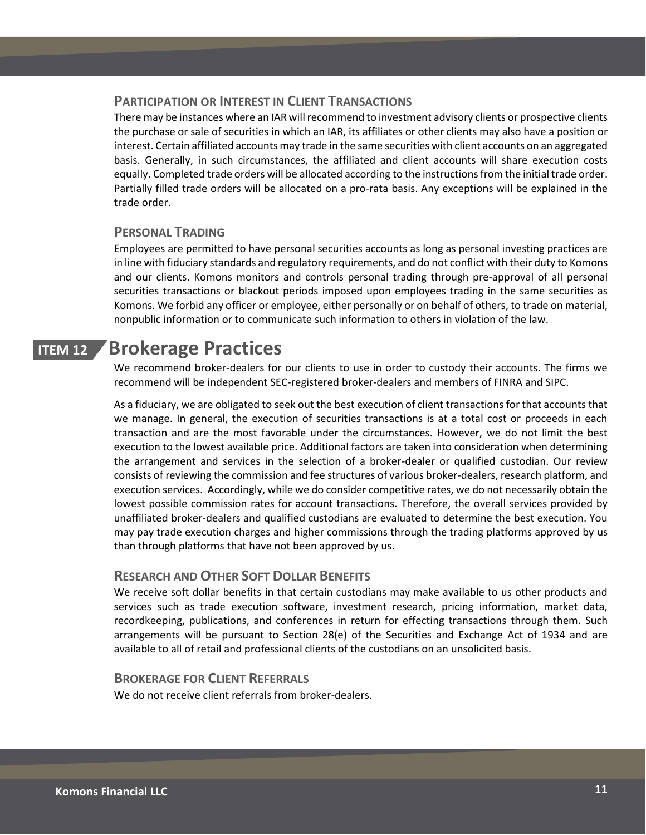### **PARTICIPATION OR INTEREST IN CLIENT TRANSACTIONS**

There may be instances where an IAR will recommend to investment advisory clients or prospective clients the purchase or sale of securities in which an IAR, its affiliates or other clients may also have a position or interest. Certain affiliated accounts may trade in the same securities with client accounts on an aggregated basis. Generally, in such circumstances, the affiliated and client accounts will share execution costs equally. Completed trade orders will be allocated according to the instructions from the initial trade order. Partially filled trade orders will be allocated on a pro-rata basis. Any exceptions will be explained in the trade order.

### **PERSONAL TRADING**

Employees are permitted to have personal securities accounts as long as personal investing practices are in line with fiduciary standards and regulatory requirements, and do not conflict with their duty to Komons and our clients. Komons monitors and controls personal trading through pre-approval of all personal securities transactions or blackout periods imposed upon employees trading in the same securities as Komons. We forbid any officer or employee, either personally or on behalf of others, to trade on material, nonpublic information or to communicate such information to others in violation of the law.

# **ITEM 12 Brokerage Practices**

<span id="page-10-0"></span>We recommend broker-dealers for our clients to use in order to custody their accounts. The firms we recommend will be independent SEC-registered broker-dealers and members of FINRA and SIPC.

As a fiduciary, we are obligated to seek out the best execution of client transactions for that accounts that we manage. In general, the execution of securities transactions is at a total cost or proceeds in each transaction and are the most favorable under the circumstances. However, we do not limit the best execution to the lowest available price. Additional factors are taken into consideration when determining the arrangement and services in the selection of a broker-dealer or qualified custodian. Our review consists of reviewing the commission and fee structures of various broker-dealers, research platform, and execution services. Accordingly, while we do consider competitive rates, we do not necessarily obtain the lowest possible commission rates for account transactions. Therefore, the overall services provided by unaffiliated broker-dealers and qualified custodians are evaluated to determine the best execution. You may pay trade execution charges and higher commissions through the trading platforms approved by us than through platforms that have not been approved by us.

### **RESEARCH AND OTHER SOFT DOLLAR BENEFITS**

We receive soft dollar benefits in that certain custodians may make available to us other products and services such as trade execution software, investment research, pricing information, market data, recordkeeping, publications, and conferences in return for effecting transactions through them. Such arrangements will be pursuant to Section 28(e) of the Securities and Exchange Act of 1934 and are available to all of retail and professional clients of the custodians on an unsolicited basis.

### **BROKERAGE FOR CLIENT REFERRALS**

We do not receive client referrals from broker-dealers.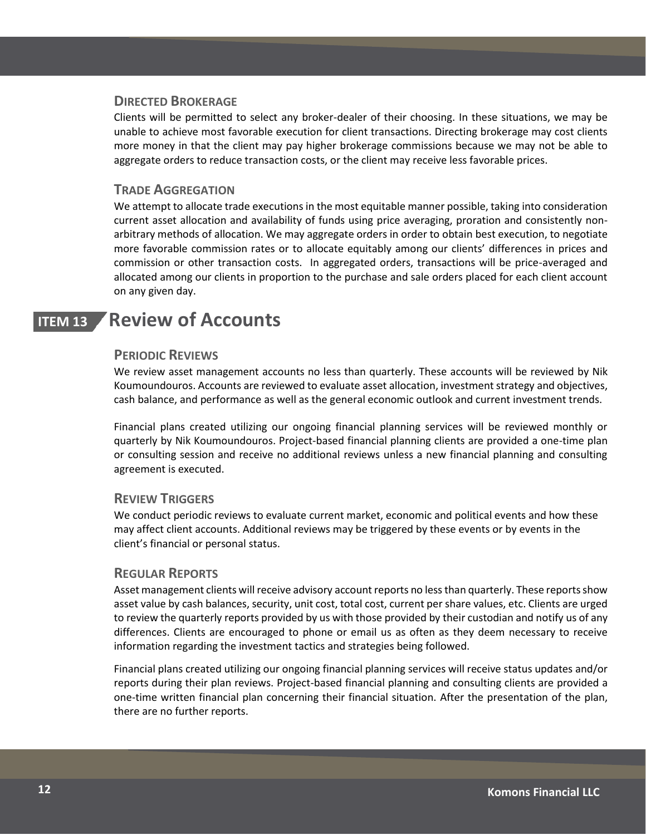#### **DIRECTED BROKERAGE**

Clients will be permitted to select any broker-dealer of their choosing. In these situations, we may be unable to achieve most favorable execution for client transactions. Directing brokerage may cost clients more money in that the client may pay higher brokerage commissions because we may not be able to aggregate orders to reduce transaction costs, or the client may receive less favorable prices.

### **TRADE AGGREGATION**

We attempt to allocate trade executions in the most equitable manner possible, taking into consideration current asset allocation and availability of funds using price averaging, proration and consistently nonarbitrary methods of allocation. We may aggregate orders in order to obtain best execution, to negotiate more favorable commission rates or to allocate equitably among our clients' differences in prices and commission or other transaction costs. In aggregated orders, transactions will be price-averaged and allocated among our clients in proportion to the purchase and sale orders placed for each client account on any given day.

# **ITEM 13 Review of Accounts**

### <span id="page-11-0"></span>**PERIODIC REVIEWS**

We review asset management accounts no less than quarterly. These accounts will be reviewed by Nik Koumoundouros. Accounts are reviewed to evaluate asset allocation, investment strategy and objectives, cash balance, and performance as well as the general economic outlook and current investment trends.

Financial plans created utilizing our ongoing financial planning services will be reviewed monthly or quarterly by Nik Koumoundouros. Project-based financial planning clients are provided a one-time plan or consulting session and receive no additional reviews unless a new financial planning and consulting agreement is executed.

### **REVIEW TRIGGERS**

We conduct periodic reviews to evaluate current market, economic and political events and how these may affect client accounts. Additional reviews may be triggered by these events or by events in the client's financial or personal status.

### **REGULAR REPORTS**

Asset management clients will receive advisory account reports no less than quarterly. These reports show asset value by cash balances, security, unit cost, total cost, current per share values, etc. Clients are urged to review the quarterly reports provided by us with those provided by their custodian and notify us of any differences. Clients are encouraged to phone or email us as often as they deem necessary to receive information regarding the investment tactics and strategies being followed.

Financial plans created utilizing our ongoing financial planning services will receive status updates and/or reports during their plan reviews. Project-based financial planning and consulting clients are provided a one-time written financial plan concerning their financial situation. After the presentation of the plan, there are no further reports.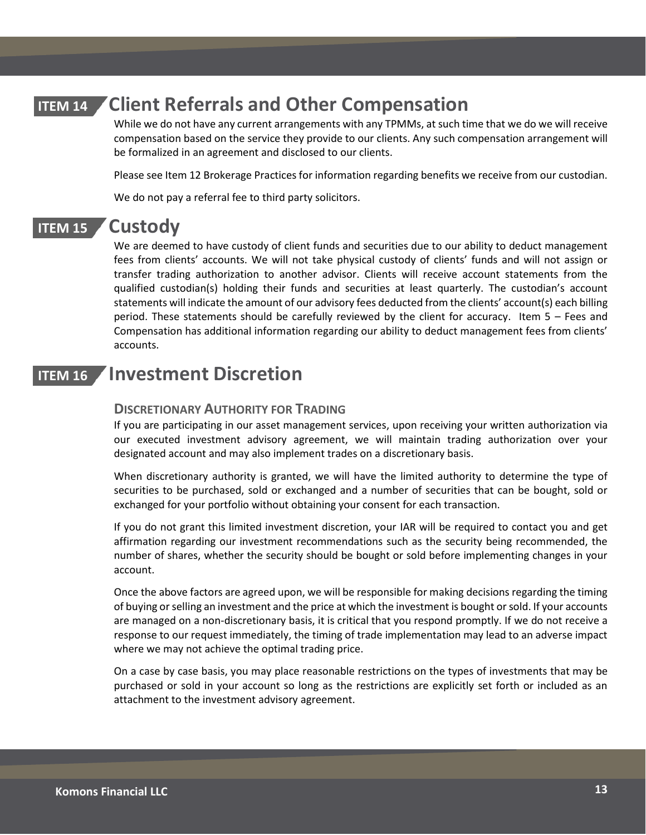# **ITEM 14 Client Referrals and Other Compensation**

<span id="page-12-0"></span>While we do not have any current arrangements with any TPMMs, at such time that we do we will receive compensation based on the service they provide to our clients. Any such compensation arrangement will be formalized in an agreement and disclosed to our clients.

Please see Item 12 Brokerage Practices for information regarding benefits we receive from our custodian.

<span id="page-12-1"></span>We do not pay a referral fee to third party solicitors.

## **ITEM 15 Custody**

We are deemed to have custody of client funds and securities due to our ability to deduct management fees from clients' accounts. We will not take physical custody of clients' funds and will not assign or transfer trading authorization to another advisor. Clients will receive account statements from the qualified custodian(s) holding their funds and securities at least quarterly. The custodian's account statements will indicate the amount of our advisory fees deducted from the clients' account(s) each billing period. These statements should be carefully reviewed by the client for accuracy. Item 5 – Fees and Compensation has additional information regarding our ability to deduct management fees from clients' accounts.

## **ITEM 16 Investment Discretion**

### <span id="page-12-2"></span>**DISCRETIONARY AUTHORITY FOR TRADING**

If you are participating in our asset management services, upon receiving your written authorization via our executed investment advisory agreement, we will maintain trading authorization over your designated account and may also implement trades on a discretionary basis.

When discretionary authority is granted, we will have the limited authority to determine the type of securities to be purchased, sold or exchanged and a number of securities that can be bought, sold or exchanged for your portfolio without obtaining your consent for each transaction.

If you do not grant this limited investment discretion, your IAR will be required to contact you and get affirmation regarding our investment recommendations such as the security being recommended, the number of shares, whether the security should be bought or sold before implementing changes in your account.

Once the above factors are agreed upon, we will be responsible for making decisions regarding the timing of buying or selling an investment and the price at which the investment is bought or sold. If your accounts are managed on a non-discretionary basis, it is critical that you respond promptly. If we do not receive a response to our request immediately, the timing of trade implementation may lead to an adverse impact where we may not achieve the optimal trading price.

On a case by case basis, you may place reasonable restrictions on the types of investments that may be purchased or sold in your account so long as the restrictions are explicitly set forth or included as an attachment to the investment advisory agreement.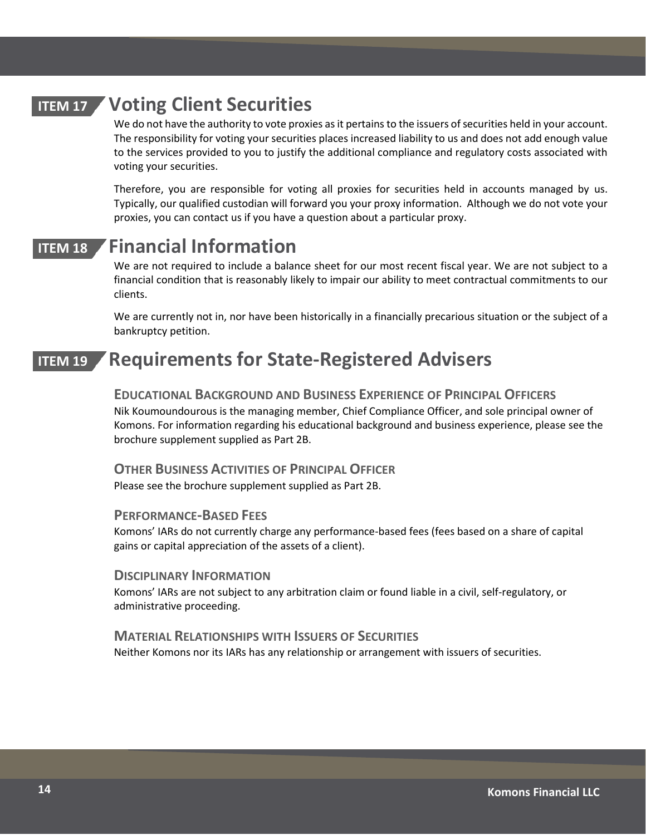# **ITEM 17 Voting Client Securities**

<span id="page-13-0"></span>We do not have the authority to vote proxies as it pertains to the issuers of securities held in your account. The responsibility for voting your securities places increased liability to us and does not add enough value to the services provided to you to justify the additional compliance and regulatory costs associated with voting your securities.

Therefore, you are responsible for voting all proxies for securities held in accounts managed by us. Typically, our qualified custodian will forward you your proxy information. Although we do not vote your proxies, you can contact us if you have a question about a particular proxy.

# **ITEM 18 Financial Information**

<span id="page-13-1"></span>We are not required to include a balance sheet for our most recent fiscal year. We are not subject to a financial condition that is reasonably likely to impair our ability to meet contractual commitments to our clients.

<span id="page-13-2"></span>We are currently not in, nor have been historically in a financially precarious situation or the subject of a bankruptcy petition.

# **ITEM 19 Requirements for State-Registered Advisers**

### **EDUCATIONAL BACKGROUND AND BUSINESS EXPERIENCE OF PRINCIPAL OFFICERS**

Nik Koumoundourous is the managing member, Chief Compliance Officer, and sole principal owner of Komons. For information regarding his educational background and business experience, please see the brochure supplement supplied as Part 2B.

**OTHER BUSINESS ACTIVITIES OF PRINCIPAL OFFICER** Please see the brochure supplement supplied as Part 2B.

#### **PERFORMANCE-BASED FEES**

Komons' IARs do not currently charge any performance-based fees (fees based on a share of capital gains or capital appreciation of the assets of a client).

### **DISCIPLINARY INFORMATION**

Komons' IARs are not subject to any arbitration claim or found liable in a civil, self-regulatory, or administrative proceeding.

### **MATERIAL RELATIONSHIPS WITH ISSUERS OF SECURITIES** Neither Komons nor its IARs has any relationship or arrangement with issuers of securities.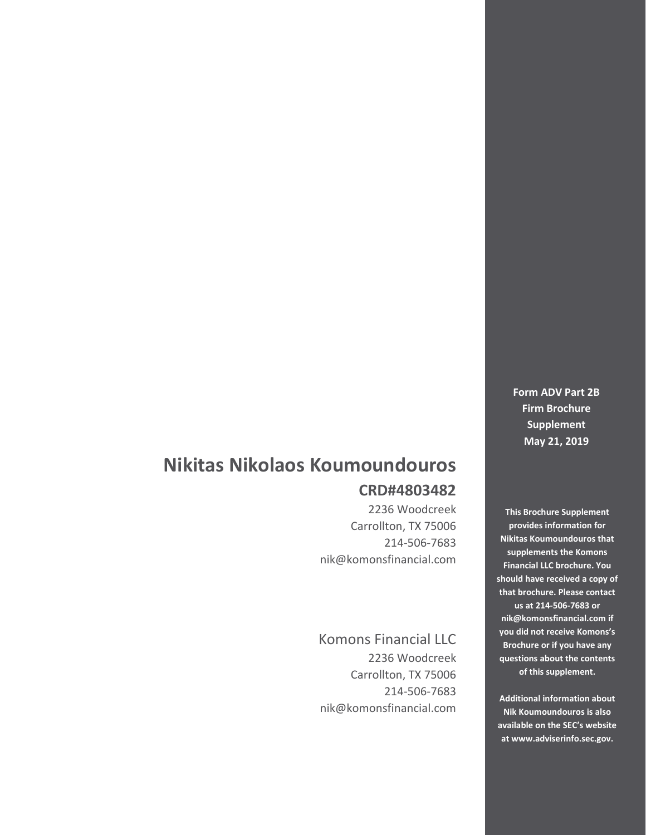# **Nikitas Nikolaos Koumoundouros CRD#4803482**

2236 Woodcreek Carrollton, TX 75006 214-506-7683 nik@komonsfinancial.com

Komons Financial LLC 2236 Woodcreek Carrollton, TX 75006 214-506-7683 nik@komonsfinancial.com

**Form ADV Part 2B Firm Brochure Supplement May 21, 2019**

**This Brochure Supplement provides information for Nikitas Koumoundouros that supplements the Komons Financial LLC brochure. You should have received a copy of that brochure. Please contact us at 214-506-7683 or nik@komonsfinancial.com if you did not receive Komons's Brochure or if you have any questions about the contents of this supplement.**

**Additional information about Nik Koumoundouros is also available on the SEC's website at [www.adviserinfo.sec.gov.](http://www.adviserinfo.sec.gov/)**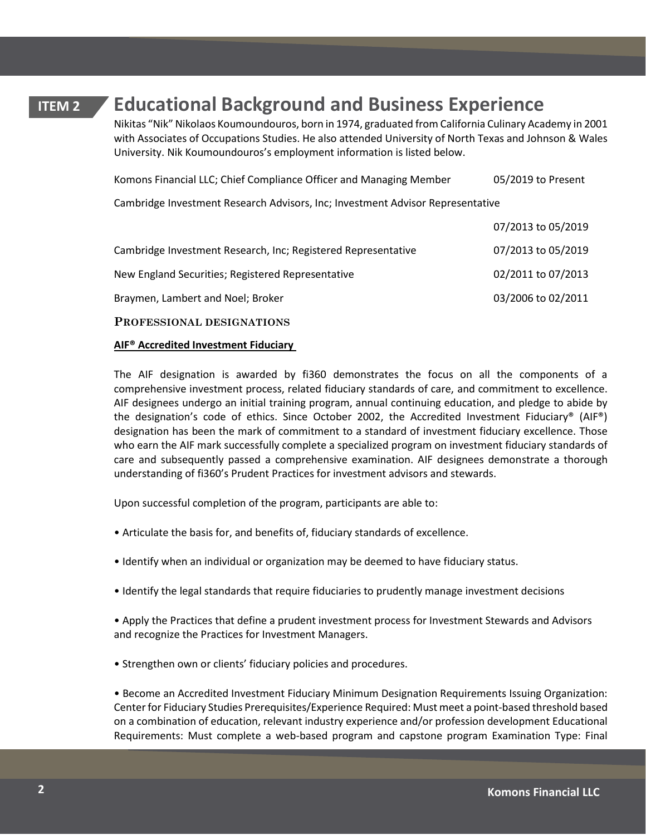# **ITEM 2 Educational Background and Business Experience**

Nikitas "Nik" Nikolaos Koumoundouros, born in 1974, graduated from California Culinary Academy in 2001 with Associates of Occupations Studies. He also attended University of North Texas and Johnson & Wales University. Nik Koumoundouros's employment information is listed below.

| Komons Financial LLC; Chief Compliance Officer and Managing Member             | 05/2019 to Present |  |  |  |  |
|--------------------------------------------------------------------------------|--------------------|--|--|--|--|
| Cambridge Investment Research Advisors, Inc; Investment Advisor Representative |                    |  |  |  |  |
|                                                                                | 07/2013 to 05/2019 |  |  |  |  |
| Cambridge Investment Research, Inc; Registered Representative                  | 07/2013 to 05/2019 |  |  |  |  |
| New England Securities; Registered Representative                              | 02/2011 to 07/2013 |  |  |  |  |
| Braymen, Lambert and Noel; Broker                                              | 03/2006 to 02/2011 |  |  |  |  |
| PROFESSIONAL DESIGNATIONS                                                      |                    |  |  |  |  |

### **AIF® Accredited Investment Fiduciary**

The AIF designation is awarded by fi360 demonstrates the focus on all the components of a comprehensive investment process, related fiduciary standards of care, and commitment to excellence. AIF designees undergo an initial training program, annual continuing education, and pledge to abide by the designation's code of ethics. Since October 2002, the Accredited Investment Fiduciary® (AIF®) designation has been the mark of commitment to a standard of investment fiduciary excellence. Those who earn the AIF mark successfully complete a specialized program on investment fiduciary standards of care and subsequently passed a comprehensive examination. AIF designees demonstrate a thorough understanding of fi360's Prudent Practices for investment advisors and stewards.

Upon successful completion of the program, participants are able to:

- Articulate the basis for, and benefits of, fiduciary standards of excellence.
- Identify when an individual or organization may be deemed to have fiduciary status.
- Identify the legal standards that require fiduciaries to prudently manage investment decisions

• Apply the Practices that define a prudent investment process for Investment Stewards and Advisors and recognize the Practices for Investment Managers.

• Strengthen own or clients' fiduciary policies and procedures.

• Become an Accredited Investment Fiduciary Minimum Designation Requirements Issuing Organization: Center for Fiduciary Studies Prerequisites/Experience Required: Must meet a point-based threshold based on a combination of education, relevant industry experience and/or profession development Educational Requirements: Must complete a web-based program and capstone program Examination Type: Final